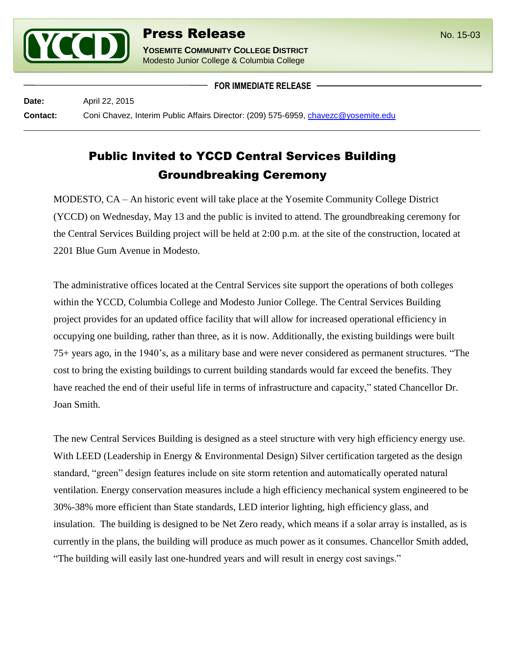

**YOSEMITE COMMUNITY COLLEGE DISTRICT** Modesto Junior College & Columbia College

**FOR IMMEDIATE RELEASE**

**Date:** April 22, 2015 **Contact:** Coni Chavez, Interim Public Affairs Director: (209) 575-6959, [chavezc@yosemite.edu](mailto:chavezc@yosemite.edu)

## Public Invited to YCCD Central Services Building Groundbreaking Ceremony

MODESTO, CA – An historic event will take place at the Yosemite Community College District (YCCD) on Wednesday, May 13 and the public is invited to attend. The groundbreaking ceremony for the Central Services Building project will be held at 2:00 p.m. at the site of the construction, located at 2201 Blue Gum Avenue in Modesto.

The administrative offices located at the Central Services site support the operations of both colleges within the YCCD, Columbia College and Modesto Junior College. The Central Services Building project provides for an updated office facility that will allow for increased operational efficiency in occupying one building, rather than three, as it is now. Additionally, the existing buildings were built 75+ years ago, in the 1940's, as a military base and were never considered as permanent structures. "The cost to bring the existing buildings to current building standards would far exceed the benefits. They have reached the end of their useful life in terms of infrastructure and capacity," stated Chancellor Dr. Joan Smith.

The new Central Services Building is designed as a steel structure with very high efficiency energy use. With LEED (Leadership in Energy & Environmental Design) Silver certification targeted as the design standard, "green" design features include on site storm retention and automatically operated natural ventilation. Energy conservation measures include a high efficiency mechanical system engineered to be 30%-38% more efficient than State standards, LED interior lighting, high efficiency glass, and insulation. The building is designed to be Net Zero ready, which means if a solar array is installed, as is currently in the plans, the building will produce as much power as it consumes. Chancellor Smith added, "The building will easily last one-hundred years and will result in energy cost savings."